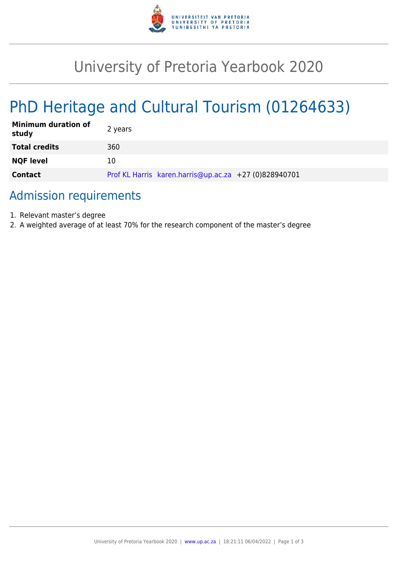

## University of Pretoria Yearbook 2020

# PhD Heritage and Cultural Tourism (01264633)

| <b>Minimum duration of</b><br>study | 2 years                                               |
|-------------------------------------|-------------------------------------------------------|
| <b>Total credits</b>                | 360                                                   |
| <b>NQF level</b>                    | 10                                                    |
| <b>Contact</b>                      | Prof KL Harris karen.harris@up.ac.za +27 (0)828940701 |

### Admission requirements

- 1. Relevant master's degree
- 2. A weighted average of at least 70% for the research component of the master's degree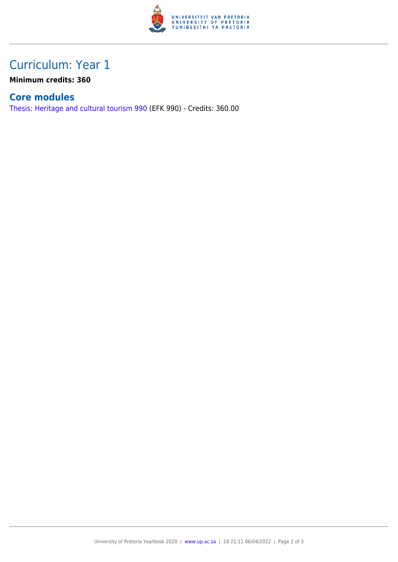

## Curriculum: Year 1

**Minimum credits: 360**

#### **Core modules**

[Thesis: Heritage and cultural tourism 990](https://www.up.ac.za/faculty-of-education/yearbooks/2020/modules/view/EFK 990) (EFK 990) - Credits: 360.00